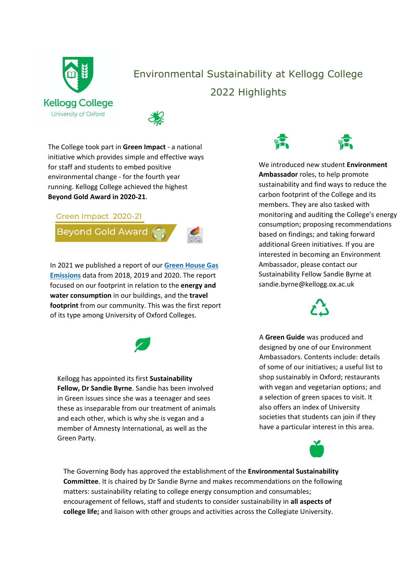

# Environmental Sustainability at Kellogg College 2022 Highlights



The College took part in **Green Impact** - a national initiative which provides simple and effective ways for staff and students to embed positive environmental change - for the fourth year running. Kellogg College achieved the highest **Beyond Gold Award in 2020-21**.

#### Green Impact 2020-21

Beyond Gold Award



In 2021 we published a report of our **[Green House Gas](https://www.kellogg.ox.ac.uk/wp-content/uploads/2021/04/Greenhouse-Gas-Emissions-Report-2020.pdf) [Emissions](https://www.kellogg.ox.ac.uk/wp-content/uploads/2021/04/Greenhouse-Gas-Emissions-Report-2020.pdf)** data from 2018, 2019 and 2020. The report focused on our footprint in relation to the **energy and water consumption** in our buildings, and the **travel footprint** from our community. This was the first report of its type among University of Oxford Colleges.



Kellogg has appointed its first **Sustainability Fellow, Dr Sandie Byrne**. Sandie has been involved in Green issues since she was a teenager and sees these as inseparable from our treatment of animals and each other, which is why she is vegan and a member of Amnesty International, as well as the Green Party.



We introduced new student **Environment Ambassador** roles, to help promote sustainability and find ways to reduce the carbon footprint of the College and its members. They are also tasked with monitoring and auditing the College's energy consumption; proposing recommendations based on findings; and taking forward additional Green initiatives. If you are interested in becoming an Environment Ambassador, please contact our Sustainability Fellow Sandie Byrne at sandie.byrne@kellogg.ox.ac.uk

A **Green Guide** was produced and designed by one of our Environment Ambassadors. Contents include: details of some of our initiatives; a useful list to shop sustainably in Oxford; restaurants with vegan and vegetarian options; and a selection of green spaces to visit. It also offers an index of University societies that students can join if they have a particular interest in this area.



The Governing Body has approved the establishment of the **Environmental Sustainability Committee**. It is chaired by Dr Sandie Byrne and makes recommendations on the following matters: sustainability relating to college energy consumption and consumables; encouragement of fellows, staff and students to consider sustainability in **all aspects of college life;** and liaison with other groups and activities across the Collegiate University.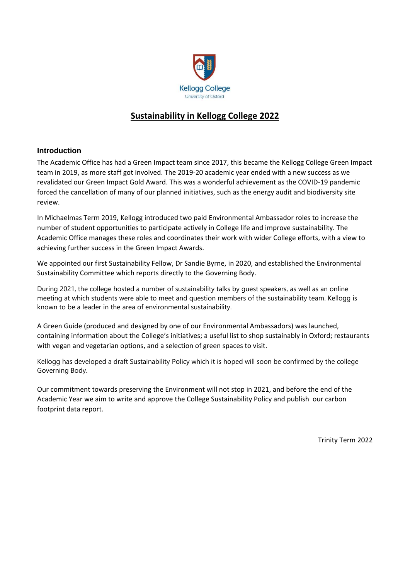

#### **Sustainability in Kellogg College 2022**

#### **Introduction**

The Academic Office has had a Green Impact team since 2017, this became the Kellogg College Green Impact team in 2019, as more staff got involved. The 2019-20 academic year ended with a new success as we revalidated our Green Impact Gold Award. This was a wonderful achievement as the COVID-19 pandemic forced the cancellation of many of our planned initiatives, such as the energy audit and biodiversity site review.

In Michaelmas Term 2019, Kellogg introduced two paid Environmental Ambassador roles to increase the number of student opportunities to participate actively in College life and improve sustainability. The Academic Office manages these roles and coordinates their work with wider College efforts, with a view to achieving further success in the Green Impact Awards.

We appointed our first Sustainability Fellow, Dr Sandie Byrne, in 2020, and established the Environmental Sustainability Committee which reports directly to the Governing Body.

During 2021, the college hosted a number of sustainability talks by guest speakers, as well as an online meeting at which students were able to meet and question members of the sustainability team. Kellogg is known to be a leader in the area of environmental sustainability.

A Green Guide (produced and designed by one of our Environmental Ambassadors) was launched, containing information about the College's initiatives; a useful list to shop sustainably in Oxford; restaurants with vegan and vegetarian options, and a selection of green spaces to visit.

Kellogg has developed a draft Sustainability Policy which it is hoped will soon be confirmed by the college Governing Body.

Our commitment towards preserving the Environment will not stop in 2021, and before the end of the Academic Year we aim to write and approve the College Sustainability Policy and publish our carbon footprint data report.

Trinity Term 2022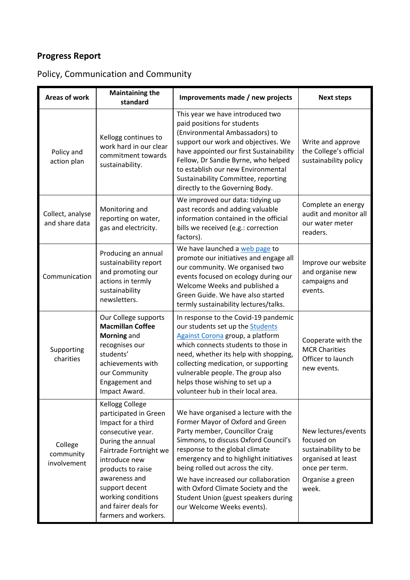## Policy, Communication and Community

| <b>Areas of work</b>                | <b>Maintaining the</b><br>standard                                                                                                                                                                                                                                                       | Improvements made / new projects                                                                                                                                                                                                                                                                                                                                                                                        | <b>Next steps</b>                                                                                                              |
|-------------------------------------|------------------------------------------------------------------------------------------------------------------------------------------------------------------------------------------------------------------------------------------------------------------------------------------|-------------------------------------------------------------------------------------------------------------------------------------------------------------------------------------------------------------------------------------------------------------------------------------------------------------------------------------------------------------------------------------------------------------------------|--------------------------------------------------------------------------------------------------------------------------------|
| Policy and<br>action plan           | Kellogg continues to<br>work hard in our clear<br>commitment towards<br>sustainability.                                                                                                                                                                                                  | This year we have introduced two<br>paid positions for students<br>(Environmental Ambassadors) to<br>support our work and objectives. We<br>have appointed our first Sustainability<br>Fellow, Dr Sandie Byrne, who helped<br>to establish our new Environmental<br>Sustainability Committee, reporting<br>directly to the Governing Body.                                                                              | Write and approve<br>the College's official<br>sustainability policy                                                           |
| Collect, analyse<br>and share data  | Monitoring and<br>reporting on water,<br>gas and electricity.                                                                                                                                                                                                                            | We improved our data: tidying up<br>past records and adding valuable<br>information contained in the official<br>bills we received (e.g.: correction<br>factors).                                                                                                                                                                                                                                                       | Complete an energy<br>audit and monitor all<br>our water meter<br>readers.                                                     |
| Communication                       | Producing an annual<br>sustainability report<br>and promoting our<br>actions in termly<br>sustainability<br>newsletters.                                                                                                                                                                 | We have launched a web page to<br>promote our initiatives and engage all<br>our community. We organised two<br>events focused on ecology during our<br>Welcome Weeks and published a<br>Green Guide. We have also started<br>termly sustainability lectures/talks.                                                                                                                                                      | Improve our website<br>and organise new<br>campaigns and<br>events.                                                            |
| Supporting<br>charities             | Our College supports<br><b>Macmillan Coffee</b><br>Morning and<br>recognises our<br>students'<br>achievements with<br>our Community<br>Engagement and<br>Impact Award.                                                                                                                   | In response to the Covid-19 pandemic<br>our students set up the Students<br>Against Corona group, a platform<br>which connects students to those in<br>need, whether its help with shopping,<br>collecting medication, or supporting<br>vulnerable people. The group also<br>helps those wishing to set up a<br>volunteer hub in their local area.                                                                      | Cooperate with the<br><b>MCR Charities</b><br>Officer to launch<br>new events.                                                 |
| College<br>community<br>involvement | <b>Kellogg College</b><br>participated in Green<br>Impact for a third<br>consecutive year.<br>During the annual<br>Fairtrade Fortnight we<br>introduce new<br>products to raise<br>awareness and<br>support decent<br>working conditions<br>and fairer deals for<br>farmers and workers. | We have organised a lecture with the<br>Former Mayor of Oxford and Green<br>Party member, Councillor Craig<br>Simmons, to discuss Oxford Council's<br>response to the global climate<br>emergency and to highlight initiatives<br>being rolled out across the city.<br>We have increased our collaboration<br>with Oxford Climate Society and the<br>Student Union (guest speakers during<br>our Welcome Weeks events). | New lectures/events<br>focused on<br>sustainability to be<br>organised at least<br>once per term.<br>Organise a green<br>week. |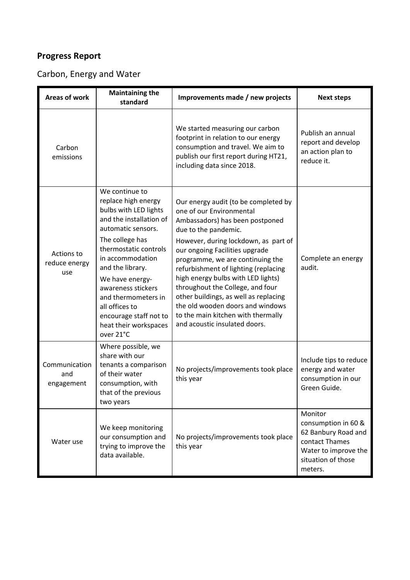## Carbon, Energy and Water

| <b>Areas of work</b>               | <b>Maintaining the</b><br>standard                                                                                                                                                                                                                                                                                                                    | Improvements made / new projects                                                                                                                                                                                                                                                                                                                                                                                                                                                                                | <b>Next steps</b>                                                                                                                |
|------------------------------------|-------------------------------------------------------------------------------------------------------------------------------------------------------------------------------------------------------------------------------------------------------------------------------------------------------------------------------------------------------|-----------------------------------------------------------------------------------------------------------------------------------------------------------------------------------------------------------------------------------------------------------------------------------------------------------------------------------------------------------------------------------------------------------------------------------------------------------------------------------------------------------------|----------------------------------------------------------------------------------------------------------------------------------|
| Carbon<br>emissions                |                                                                                                                                                                                                                                                                                                                                                       | We started measuring our carbon<br>footprint in relation to our energy<br>consumption and travel. We aim to<br>publish our first report during HT21,<br>including data since 2018.                                                                                                                                                                                                                                                                                                                              | Publish an annual<br>report and develop<br>an action plan to<br>reduce it.                                                       |
| Actions to<br>reduce energy<br>use | We continue to<br>replace high energy<br>bulbs with LED lights<br>and the installation of<br>automatic sensors.<br>The college has<br>thermostatic controls<br>in accommodation<br>and the library.<br>We have energy-<br>awareness stickers<br>and thermometers in<br>all offices to<br>encourage staff not to<br>heat their workspaces<br>over 21°C | Our energy audit (to be completed by<br>one of our Environmental<br>Ambassadors) has been postponed<br>due to the pandemic.<br>However, during lockdown, as part of<br>our ongoing Facilities upgrade<br>programme, we are continuing the<br>refurbishment of lighting (replacing<br>high energy bulbs with LED lights)<br>throughout the College, and four<br>other buildings, as well as replacing<br>the old wooden doors and windows<br>to the main kitchen with thermally<br>and acoustic insulated doors. | Complete an energy<br>audit.                                                                                                     |
| Communication<br>and<br>engagement | Where possible, we<br>share with our<br>tenants a comparison<br>of their water<br>consumption, with<br>that of the previous<br>two years                                                                                                                                                                                                              | No projects/improvements took place<br>this year                                                                                                                                                                                                                                                                                                                                                                                                                                                                | Include tips to reduce<br>energy and water<br>consumption in our<br>Green Guide.                                                 |
| Water use                          | We keep monitoring<br>our consumption and<br>trying to improve the<br>data available.                                                                                                                                                                                                                                                                 | No projects/improvements took place<br>this year                                                                                                                                                                                                                                                                                                                                                                                                                                                                | Monitor<br>consumption in 60 &<br>62 Banbury Road and<br>contact Thames<br>Water to improve the<br>situation of those<br>meters. |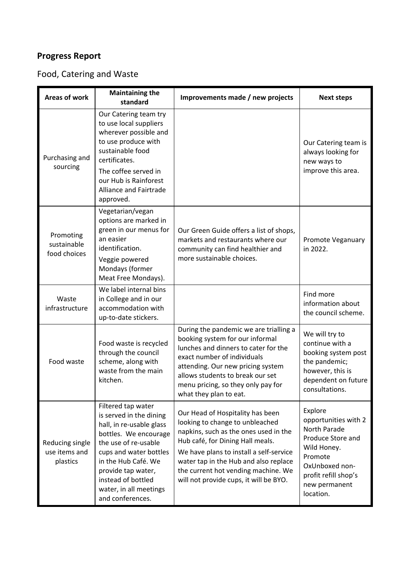## Food, Catering and Waste

| <b>Areas of work</b>                         | <b>Maintaining the</b><br>standard                                                                                                                                                                                                                                    | Improvements made / new projects                                                                                                                                                                                                                                                                                      | <b>Next steps</b>                                                                                                                                                      |
|----------------------------------------------|-----------------------------------------------------------------------------------------------------------------------------------------------------------------------------------------------------------------------------------------------------------------------|-----------------------------------------------------------------------------------------------------------------------------------------------------------------------------------------------------------------------------------------------------------------------------------------------------------------------|------------------------------------------------------------------------------------------------------------------------------------------------------------------------|
| Purchasing and<br>sourcing                   | Our Catering team try<br>to use local suppliers<br>wherever possible and<br>to use produce with<br>sustainable food<br>certificates.<br>The coffee served in<br>our Hub is Rainforest<br>Alliance and Fairtrade<br>approved.                                          |                                                                                                                                                                                                                                                                                                                       | Our Catering team is<br>always looking for<br>new ways to<br>improve this area.                                                                                        |
| Promoting<br>sustainable<br>food choices     | Vegetarian/vegan<br>options are marked in<br>green in our menus for<br>an easier<br>identification.<br>Veggie powered<br>Mondays (former<br>Meat Free Mondays).                                                                                                       | Our Green Guide offers a list of shops,<br>markets and restaurants where our<br>community can find healthier and<br>more sustainable choices.                                                                                                                                                                         | Promote Veganuary<br>in 2022.                                                                                                                                          |
| Waste<br>infrastructure                      | We label internal bins<br>in College and in our<br>accommodation with<br>up-to-date stickers.                                                                                                                                                                         |                                                                                                                                                                                                                                                                                                                       | Find more<br>information about<br>the council scheme.                                                                                                                  |
| Food waste                                   | Food waste is recycled<br>through the council<br>scheme, along with<br>waste from the main<br>kitchen.                                                                                                                                                                | During the pandemic we are trialling a<br>booking system for our informal<br>lunches and dinners to cater for the<br>exact number of individuals<br>attending. Our new pricing system<br>allows students to break our set<br>menu pricing, so they only pay for<br>what they plan to eat.                             | We will try to<br>continue with a<br>booking system post<br>the pandemic;<br>however, this is<br>dependent on future<br>consultations.                                 |
| Reducing single<br>use items and<br>plastics | Filtered tap water<br>is served in the dining<br>hall, in re-usable glass<br>bottles. We encourage<br>the use of re-usable<br>cups and water bottles<br>in the Hub Café. We<br>provide tap water,<br>instead of bottled<br>water, in all meetings<br>and conferences. | Our Head of Hospitality has been<br>looking to change to unbleached<br>napkins, such as the ones used in the<br>Hub café, for Dining Hall meals.<br>We have plans to install a self-service<br>water tap in the Hub and also replace<br>the current hot vending machine. We<br>will not provide cups, it will be BYO. | Explore<br>opportunities with 2<br>North Parade<br>Produce Store and<br>Wild Honey.<br>Promote<br>OxUnboxed non-<br>profit refill shop's<br>new permanent<br>location. |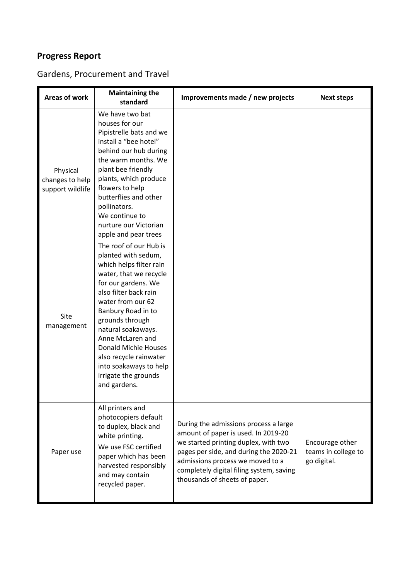## Gardens, Procurement and Travel

| Areas of work                                   | <b>Maintaining the</b><br>standard                                                                                                                                                                                                                                                                                                                                             | Improvements made / new projects                                                                                                                                                                                                                                                | <b>Next steps</b>                                     |
|-------------------------------------------------|--------------------------------------------------------------------------------------------------------------------------------------------------------------------------------------------------------------------------------------------------------------------------------------------------------------------------------------------------------------------------------|---------------------------------------------------------------------------------------------------------------------------------------------------------------------------------------------------------------------------------------------------------------------------------|-------------------------------------------------------|
| Physical<br>changes to help<br>support wildlife | We have two bat<br>houses for our<br>Pipistrelle bats and we<br>install a "bee hotel"<br>behind our hub during<br>the warm months. We<br>plant bee friendly<br>plants, which produce<br>flowers to help<br>butterflies and other<br>pollinators.<br>We continue to<br>nurture our Victorian<br>apple and pear trees                                                            |                                                                                                                                                                                                                                                                                 |                                                       |
| Site<br>management                              | The roof of our Hub is<br>planted with sedum,<br>which helps filter rain<br>water, that we recycle<br>for our gardens. We<br>also filter back rain<br>water from our 62<br>Banbury Road in to<br>grounds through<br>natural soakaways.<br>Anne McLaren and<br>Donald Michie Houses<br>also recycle rainwater<br>into soakaways to help<br>irrigate the grounds<br>and gardens. |                                                                                                                                                                                                                                                                                 |                                                       |
| Paper use                                       | All printers and<br>photocopiers default<br>to duplex, black and<br>white printing.<br>We use FSC certified<br>paper which has been<br>harvested responsibly<br>and may contain<br>recycled paper.                                                                                                                                                                             | During the admissions process a large<br>amount of paper is used. In 2019-20<br>we started printing duplex, with two<br>pages per side, and during the 2020-21<br>admissions process we moved to a<br>completely digital filing system, saving<br>thousands of sheets of paper. | Encourage other<br>teams in college to<br>go digital. |